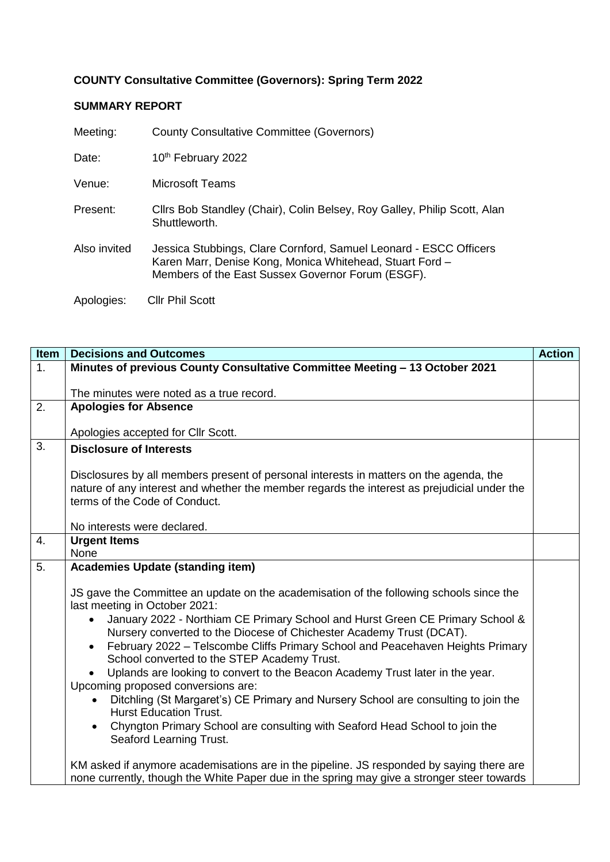## **COUNTY Consultative Committee (Governors): Spring Term 2022**

## **SUMMARY REPORT**

| Meeting:     | <b>County Consultative Committee (Governors)</b>                                                                                                                                   |
|--------------|------------------------------------------------------------------------------------------------------------------------------------------------------------------------------------|
| Date:        | 10 <sup>th</sup> February 2022                                                                                                                                                     |
| Venue:       | <b>Microsoft Teams</b>                                                                                                                                                             |
| Present:     | Clirs Bob Standley (Chair), Colin Belsey, Roy Galley, Philip Scott, Alan<br>Shuttleworth.                                                                                          |
| Also invited | Jessica Stubbings, Clare Cornford, Samuel Leonard - ESCC Officers<br>Karen Marr, Denise Kong, Monica Whitehead, Stuart Ford -<br>Members of the East Sussex Governor Forum (ESGF). |
| Apologies:   | <b>Cllr Phil Scott</b>                                                                                                                                                             |

| Item             | <b>Decisions and Outcomes</b>                                                                                                                                                                                                                                                                                                                                                                                                                                                                                                 | <b>Action</b> |
|------------------|-------------------------------------------------------------------------------------------------------------------------------------------------------------------------------------------------------------------------------------------------------------------------------------------------------------------------------------------------------------------------------------------------------------------------------------------------------------------------------------------------------------------------------|---------------|
| $\overline{1}$ . | Minutes of previous County Consultative Committee Meeting - 13 October 2021                                                                                                                                                                                                                                                                                                                                                                                                                                                   |               |
|                  |                                                                                                                                                                                                                                                                                                                                                                                                                                                                                                                               |               |
|                  | The minutes were noted as a true record.                                                                                                                                                                                                                                                                                                                                                                                                                                                                                      |               |
| 2.               | <b>Apologies for Absence</b>                                                                                                                                                                                                                                                                                                                                                                                                                                                                                                  |               |
|                  |                                                                                                                                                                                                                                                                                                                                                                                                                                                                                                                               |               |
| 3.               | Apologies accepted for Cllr Scott.                                                                                                                                                                                                                                                                                                                                                                                                                                                                                            |               |
|                  | <b>Disclosure of Interests</b>                                                                                                                                                                                                                                                                                                                                                                                                                                                                                                |               |
|                  | Disclosures by all members present of personal interests in matters on the agenda, the<br>nature of any interest and whether the member regards the interest as prejudicial under the<br>terms of the Code of Conduct.                                                                                                                                                                                                                                                                                                        |               |
|                  | No interests were declared.                                                                                                                                                                                                                                                                                                                                                                                                                                                                                                   |               |
| 4.               | <b>Urgent Items</b>                                                                                                                                                                                                                                                                                                                                                                                                                                                                                                           |               |
|                  | None                                                                                                                                                                                                                                                                                                                                                                                                                                                                                                                          |               |
| 5.               | <b>Academies Update (standing item)</b>                                                                                                                                                                                                                                                                                                                                                                                                                                                                                       |               |
|                  | JS gave the Committee an update on the academisation of the following schools since the<br>last meeting in October 2021:<br>January 2022 - Northiam CE Primary School and Hurst Green CE Primary School &<br>$\bullet$<br>Nursery converted to the Diocese of Chichester Academy Trust (DCAT).<br>February 2022 - Telscombe Cliffs Primary School and Peacehaven Heights Primary<br>$\bullet$<br>School converted to the STEP Academy Trust.<br>Uplands are looking to convert to the Beacon Academy Trust later in the year. |               |
|                  | Upcoming proposed conversions are:                                                                                                                                                                                                                                                                                                                                                                                                                                                                                            |               |
|                  | Ditchling (St Margaret's) CE Primary and Nursery School are consulting to join the<br><b>Hurst Education Trust.</b><br>Chyngton Primary School are consulting with Seaford Head School to join the<br>$\bullet$                                                                                                                                                                                                                                                                                                               |               |
|                  | Seaford Learning Trust.                                                                                                                                                                                                                                                                                                                                                                                                                                                                                                       |               |
|                  | KM asked if anymore academisations are in the pipeline. JS responded by saying there are<br>none currently, though the White Paper due in the spring may give a stronger steer towards                                                                                                                                                                                                                                                                                                                                        |               |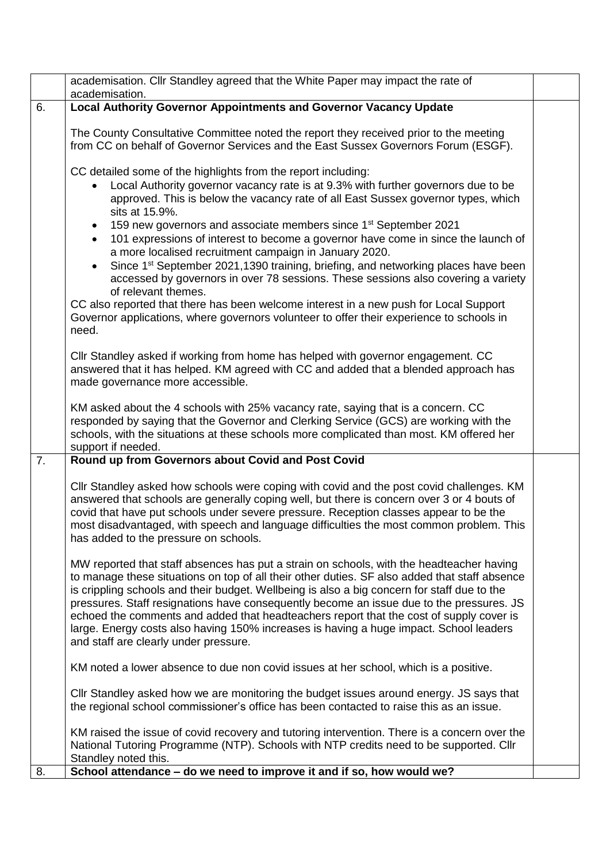|    | academisation. Cllr Standley agreed that the White Paper may impact the rate of<br>academisation.                                                                                                                                                                                                                                                                                                                                                                                                                                                                                                                  |  |
|----|--------------------------------------------------------------------------------------------------------------------------------------------------------------------------------------------------------------------------------------------------------------------------------------------------------------------------------------------------------------------------------------------------------------------------------------------------------------------------------------------------------------------------------------------------------------------------------------------------------------------|--|
| 6. | <b>Local Authority Governor Appointments and Governor Vacancy Update</b>                                                                                                                                                                                                                                                                                                                                                                                                                                                                                                                                           |  |
|    | The County Consultative Committee noted the report they received prior to the meeting<br>from CC on behalf of Governor Services and the East Sussex Governors Forum (ESGF).                                                                                                                                                                                                                                                                                                                                                                                                                                        |  |
|    | CC detailed some of the highlights from the report including:                                                                                                                                                                                                                                                                                                                                                                                                                                                                                                                                                      |  |
|    | Local Authority governor vacancy rate is at 9.3% with further governors due to be<br>approved. This is below the vacancy rate of all East Sussex governor types, which<br>sits at 15.9%.                                                                                                                                                                                                                                                                                                                                                                                                                           |  |
|    | 159 new governors and associate members since 1 <sup>st</sup> September 2021<br>101 expressions of interest to become a governor have come in since the launch of<br>a more localised recruitment campaign in January 2020.                                                                                                                                                                                                                                                                                                                                                                                        |  |
|    | Since 1 <sup>st</sup> September 2021,1390 training, briefing, and networking places have been<br>$\bullet$<br>accessed by governors in over 78 sessions. These sessions also covering a variety<br>of relevant themes.                                                                                                                                                                                                                                                                                                                                                                                             |  |
|    | CC also reported that there has been welcome interest in a new push for Local Support<br>Governor applications, where governors volunteer to offer their experience to schools in<br>need.                                                                                                                                                                                                                                                                                                                                                                                                                         |  |
|    | Cllr Standley asked if working from home has helped with governor engagement. CC<br>answered that it has helped. KM agreed with CC and added that a blended approach has<br>made governance more accessible.                                                                                                                                                                                                                                                                                                                                                                                                       |  |
|    | KM asked about the 4 schools with 25% vacancy rate, saying that is a concern. CC<br>responded by saying that the Governor and Clerking Service (GCS) are working with the<br>schools, with the situations at these schools more complicated than most. KM offered her<br>support if needed.                                                                                                                                                                                                                                                                                                                        |  |
| 7. | Round up from Governors about Covid and Post Covid                                                                                                                                                                                                                                                                                                                                                                                                                                                                                                                                                                 |  |
|    | Cllr Standley asked how schools were coping with covid and the post covid challenges. KM<br>answered that schools are generally coping well, but there is concern over 3 or 4 bouts of<br>covid that have put schools under severe pressure. Reception classes appear to be the<br>most disadvantaged, with speech and language difficulties the most common problem. This<br>has added to the pressure on schools.                                                                                                                                                                                                |  |
|    | MW reported that staff absences has put a strain on schools, with the headteacher having<br>to manage these situations on top of all their other duties. SF also added that staff absence<br>is crippling schools and their budget. Wellbeing is also a big concern for staff due to the<br>pressures. Staff resignations have consequently become an issue due to the pressures. JS<br>echoed the comments and added that headteachers report that the cost of supply cover is<br>large. Energy costs also having 150% increases is having a huge impact. School leaders<br>and staff are clearly under pressure. |  |
|    | KM noted a lower absence to due non covid issues at her school, which is a positive.                                                                                                                                                                                                                                                                                                                                                                                                                                                                                                                               |  |
|    | Cllr Standley asked how we are monitoring the budget issues around energy. JS says that<br>the regional school commissioner's office has been contacted to raise this as an issue.                                                                                                                                                                                                                                                                                                                                                                                                                                 |  |
| 8. | KM raised the issue of covid recovery and tutoring intervention. There is a concern over the<br>National Tutoring Programme (NTP). Schools with NTP credits need to be supported. Cllr<br>Standley noted this.<br>School attendance - do we need to improve it and if so, how would we?                                                                                                                                                                                                                                                                                                                            |  |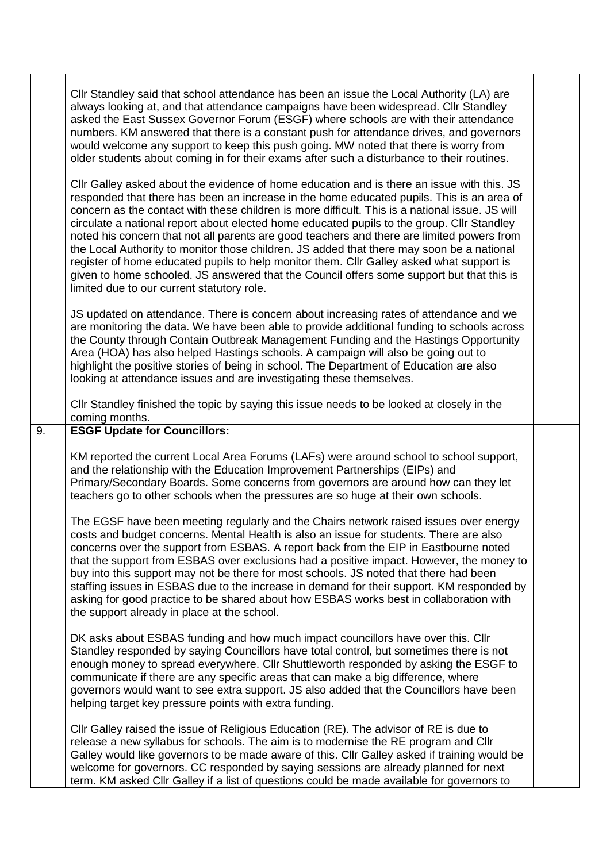|    | Cllr Standley said that school attendance has been an issue the Local Authority (LA) are<br>always looking at, and that attendance campaigns have been widespread. Cllr Standley<br>asked the East Sussex Governor Forum (ESGF) where schools are with their attendance<br>numbers. KM answered that there is a constant push for attendance drives, and governors<br>would welcome any support to keep this push going. MW noted that there is worry from<br>older students about coming in for their exams after such a disturbance to their routines.<br>Cllr Galley asked about the evidence of home education and is there an issue with this. JS<br>responded that there has been an increase in the home educated pupils. This is an area of<br>concern as the contact with these children is more difficult. This is a national issue. JS will<br>circulate a national report about elected home educated pupils to the group. Cllr Standley<br>noted his concern that not all parents are good teachers and there are limited powers from<br>the Local Authority to monitor those children. JS added that there may soon be a national<br>register of home educated pupils to help monitor them. Cllr Galley asked what support is<br>given to home schooled. JS answered that the Council offers some support but that this is<br>limited due to our current statutory role. |  |
|----|----------------------------------------------------------------------------------------------------------------------------------------------------------------------------------------------------------------------------------------------------------------------------------------------------------------------------------------------------------------------------------------------------------------------------------------------------------------------------------------------------------------------------------------------------------------------------------------------------------------------------------------------------------------------------------------------------------------------------------------------------------------------------------------------------------------------------------------------------------------------------------------------------------------------------------------------------------------------------------------------------------------------------------------------------------------------------------------------------------------------------------------------------------------------------------------------------------------------------------------------------------------------------------------------------------------------------------------------------------------------------------------|--|
|    | JS updated on attendance. There is concern about increasing rates of attendance and we<br>are monitoring the data. We have been able to provide additional funding to schools across<br>the County through Contain Outbreak Management Funding and the Hastings Opportunity<br>Area (HOA) has also helped Hastings schools. A campaign will also be going out to<br>highlight the positive stories of being in school. The Department of Education are also<br>looking at attendance issues and are investigating these themselves.                                                                                                                                                                                                                                                                                                                                                                                                                                                                                                                                                                                                                                                                                                                                                                                                                                                    |  |
|    | Cllr Standley finished the topic by saying this issue needs to be looked at closely in the<br>coming months.                                                                                                                                                                                                                                                                                                                                                                                                                                                                                                                                                                                                                                                                                                                                                                                                                                                                                                                                                                                                                                                                                                                                                                                                                                                                           |  |
| 9. | <b>ESGF Update for Councillors:</b>                                                                                                                                                                                                                                                                                                                                                                                                                                                                                                                                                                                                                                                                                                                                                                                                                                                                                                                                                                                                                                                                                                                                                                                                                                                                                                                                                    |  |
|    | KM reported the current Local Area Forums (LAFs) were around school to school support,<br>and the relationship with the Education Improvement Partnerships (EIPs) and<br>Primary/Secondary Boards. Some concerns from governors are around how can they let<br>teachers go to other schools when the pressures are so huge at their own schools.                                                                                                                                                                                                                                                                                                                                                                                                                                                                                                                                                                                                                                                                                                                                                                                                                                                                                                                                                                                                                                       |  |
|    | The EGSF have been meeting regularly and the Chairs network raised issues over energy<br>costs and budget concerns. Mental Health is also an issue for students. There are also<br>concerns over the support from ESBAS. A report back from the EIP in Eastbourne noted<br>that the support from ESBAS over exclusions had a positive impact. However, the money to<br>buy into this support may not be there for most schools. JS noted that there had been<br>staffing issues in ESBAS due to the increase in demand for their support. KM responded by<br>asking for good practice to be shared about how ESBAS works best in collaboration with<br>the support already in place at the school.                                                                                                                                                                                                                                                                                                                                                                                                                                                                                                                                                                                                                                                                                     |  |
|    | DK asks about ESBAS funding and how much impact councillors have over this. Cllr<br>Standley responded by saying Councillors have total control, but sometimes there is not<br>enough money to spread everywhere. Cllr Shuttleworth responded by asking the ESGF to<br>communicate if there are any specific areas that can make a big difference, where<br>governors would want to see extra support. JS also added that the Councillors have been<br>helping target key pressure points with extra funding.                                                                                                                                                                                                                                                                                                                                                                                                                                                                                                                                                                                                                                                                                                                                                                                                                                                                          |  |
|    | CIIr Galley raised the issue of Religious Education (RE). The advisor of RE is due to<br>release a new syllabus for schools. The aim is to modernise the RE program and Cllr<br>Galley would like governors to be made aware of this. Cllr Galley asked if training would be<br>welcome for governors. CC responded by saying sessions are already planned for next<br>term. KM asked CIIr Galley if a list of questions could be made available for governors to                                                                                                                                                                                                                                                                                                                                                                                                                                                                                                                                                                                                                                                                                                                                                                                                                                                                                                                      |  |